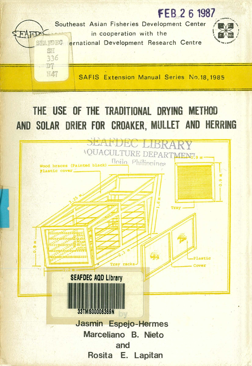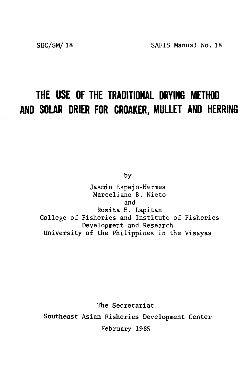# **THE USE OF THE TRADITIONAL DRYING METHOD AND SOLAR DRIER FOR CROAKER. MULLET AND HERRING**

by

Jasmin Espejo-Hermes Marceliano B. Nieto and Rosita E. Lapitan College of Fisheries and Institute of Fisheries Development and Research University of the Philippines in the Visayas

The Secretariat Southeast Asian Fisheries Development Center February 1985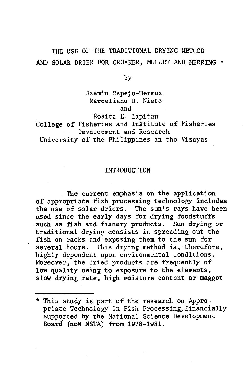### THE USE OF THE TRADITIONAL DRYING METHOD AND SOLAR DRIER FOR CROAKER, MULLET AND HERRING \*

by

### Jasmin Espejo-Hermes Marceliano B. Nieto and

Rosita E. Lapitan College of Fisheries and Institute of Fisheries Development and Research University of the Philippines in the Visayas

### INTRODUCTION

The current emphasis on the application of appropriate fish processing technology includes the use of solar driers. The sun's rays have been used since the early days for drying foodstuffs such as fish and fishery products. Sun drying or traditional drying consists in spreading out the fish on racks and exposing them to the sun for several hours. This drying method is, therefore, highly dependent upon environmental conditions. Moreover, the dried products are frequently of low quality owing to exposure to the elements. slow drying rate, high moisture content or maggot

<sup>\*</sup> This study is part of the research on Appropriate Technology in Fish Processing, financially supported by the National Science Development Board (now NSTA) from 1978-1981.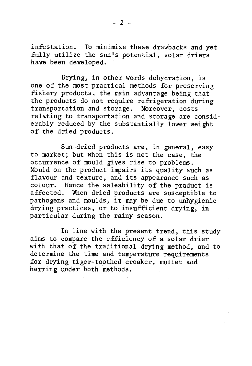in festation. To minimize these drawbacks and yet fully utilize the sun's potential, solar driers have been developed.

Drying, in other words dehydration, is one of the most practical methods for preserving fishery products, the main advantage being that the products do not require refrigeration during tran sportation and storage. Moreover, costs relating to transportation and storage are considerably reduced by the substantially lower weight of the dried products.

Sun-dried products are, in general, easy to market; but when this is not the case, the occurrence of mould gives rise to problems. Mould on the product impairs its quality such as flavour and texture, and its appearance such as colour. Hence the saleability of the product is<br>affected. When dried products are susceptible to When dried products are susceptible to pathogens and moulds, it may be due to unhygienic drying practices, or to insufficient drying, in particular during the rainy season.

In line with the present trend, this study aims to compare the efficiency of a solar drier with that of the traditional drying method, and to determine the time and temperature requirements for drying tiger-toothed croaker, mullet and herring under both methods.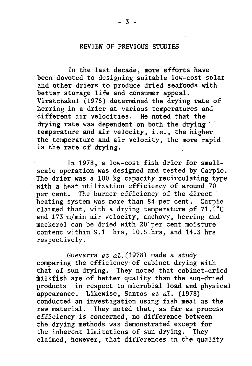### REVIEW OF PREVIOUS STUDIES

In the last decade, more efforts have been devoted to designing suitable low-cost solar and other driers to produce dried seafoods with better storage life and consumer appeal. Viratchakul (1975) determined the drying rate of herring in a drier at various temperatures and different air velocities. He noted that the drying rate was dependent on both the drying temperature and air velocity, i.e., the higher the temperature and air velocity, the more rapid is the rate of drying.

In 1978, a low-cost fish drier for smallscale operation was designed and tested by Carpio. The drier was a 100 kg capacity recirculating type with a heat utilization efficiency of around 70 per cent. The burner efficiency of the direct heating system was more than 84 per cent. Carpio claimed that, with a drying temperature of  $71.1^{\circ}$ C and 173 m/min air velocity, anchovy, herring and mackerel can be dried with 20 per cent moisture content within  $9.1$  hrs,  $10.5$  hrs, and  $14.3$  hrs respectively.

Guevarra et al. (1978) made a study comparing the efficiency of cabinet drying with that of sun drying. They noted that cabinet-dried milk fish are of better quality than the sun-dried products in respect to microbial load and physical appearance. Likewise, Santos *et al.* (1978) conducted an investigation using fish meal as the raw material. They noted that, as far as process efficiency is concerned, no difference between the drying methods was demonstrated except for the inherent limitations of sun drying. They claimed, however, that differences in the quality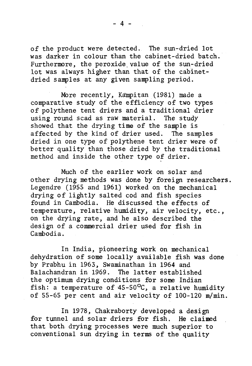of the product were detected. The sun-dried lot was darker in colour than the cabinet-dried batch. Furthermore, the peroxide value of the sun-dried lot was always higher than that of the cabinetdried samples at any given sampling period.

More recently, Kampitan (1981) made a comparative study of the efficiency of two types of polythene tent driers and a traditional drier using round scad as raw material. The study showed that the drying time of the sample is affected by the kind of drier used. The samples dried in one type of polythene tent drier were of better quality than those dried by the traditional method and inside the other type of drier.

Much of the earlier work on solar and other drying methods was done by foreign researchers. Legendre (1955 and 1961) worked on the mechanical drying of lightly salted cod and fish species found in Cambodia. He discussed the effects of temperature, relative humidity, air velocity, etc., on the drying rate, and he also described the design of a commercial drier used for fish in Cambodia.

In India, pioneering work on mechanical dehydration of some locally available fish was done by Prabhu in 1963, Swaminathan in 1964 and Balachandran in 1969. The latter established the optimum drying conditions for some Indian fish: a temperature of  $45-50$ °C, a relative humidity of 55-65 per cent and air velocity of 100-120 m/min.

In 1978, Chakraborty developed a design for tunnel and solar driers for fish. He claimed that both drying processes were much superior to conventional sun drying in terms of the quality

 $-4 -$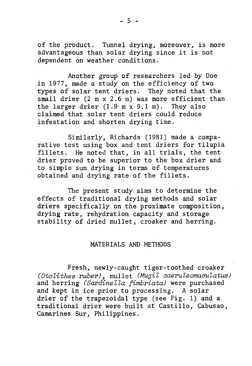of the product. Tunnel drying, moreover, is more advantageous than solar drying since it is not dependent on weather conditions.

Another group of researchers led by Doe in 1977, made a study on the efficiency of two types of solar tent driers. They noted that the small drier  $(2 \text{ m x } 2.6 \text{ m})$  was more efficient than the larger drier  $(1.9 \text{ m x } 9.1 \text{ m})$ . They also claimed that solar tent driers could reduce in festation and shorten drying time.

Similarly, Richards (1981) made a comparative test using box and tent driers for tilapia fillets. He noted that, in all trials, the tent drier proved to be superior to the box drier and to simple sun drying in terms of temperatures obtained and drying rate of the fillets.

The present study aims to determine the effects of traditional drying methods and solar driers specifically on the proximate composition, drying rate, rehydration capacity and storage stability of dried mullet, croaker and herring.

### MATERIALS AND METHODS

Fresh, newly-caught tiger-toothed croaker (*O to lith e s ru b e r*) , m u lle t (*M u g il caeruleom aoulatus*) and herring (*Sardinella fimbriata*) were purchased and kept in ice prior to processing. A solar drier of the trapezoidal type (see Fig. 1) and a traditional drier were built at Castillo, Cabusao, Camarines Sur, Philippines.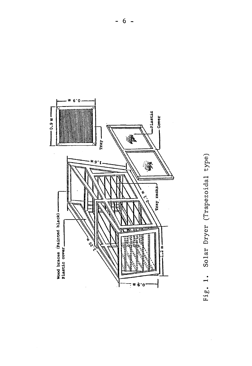

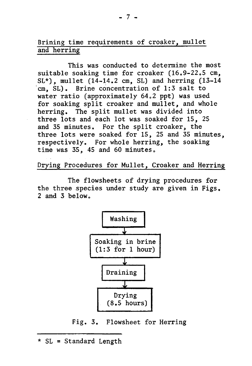### Brining time requirements of croaker, mullet and herring

This was conducted to determine the most suitable soaking time for croaker  $(16.9 - 22.5 \text{ cm},$  $SL^*$ ), mullet  $(14-14.2 \text{ cm}, SL)$  and herring  $(13-14$  $cm.$  SL). Brine concentration of 1:3 salt to water ratio (approximately 64.2 ppt) was used for soaking split croaker and mullet, and whole herring. The split mullet was divided into three lots and each lot was soaked for 15, 25 and 35 minutes. For the split croaker, the three lots were soaked for 15, 25 and 35 minutes, respectively. For whole herring, the soaking time was  $35$ , 45 and 60 minutes.

Drying Procedures for Mullet, Croaker and Herring

The flowsheets of drying procedures for the three species under study are given in Figs. 2 and 3 below.



Fig. 3. Flowsheet for Herring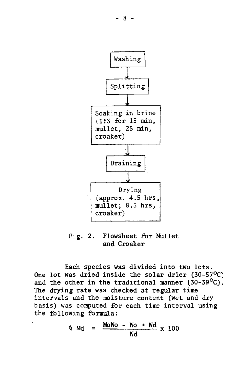

Fig. 2. Flowsheet for Mullet and Croaker

Each species was divided into two lots. One lot was dried inside the solar drier  $(30-57^{\circ}C)$ and the other in the traditional manner  $(30-39^{\circ}C)$ . The drying rate was checked at regular time intervals and the moisture content (wet and dry basis) was computed for each time interval using the following formula:

$$
d_{\text{M}} = \frac{\text{MoNo} - \text{Wo} + \text{Wd}}{\text{Wd}} \times 100
$$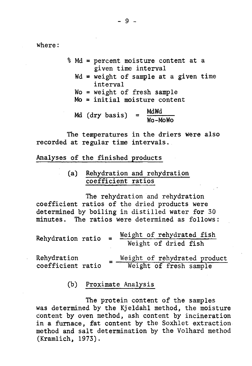where:

- % Md = percent moisture content at a given time interval
	- $Wd = weight of sample at a given time$ interval
	- Wo = weight of fresh sample
	- $Mo = initial moisture content$

Md (dry basis) =  $\frac{M d W d}{W o - M o W o}$ 

The temperatures in the driers were also recorded at regular time intervals.

Analyses of the finished products

(a) Rehydration and rehydration coefficient ratios

The rehydration and rehydration coefficient ratios of the dried products were determined by boiling in distilled water for 30 minutes. The ratios were determined as follows:

| Rehydration ratio |  | Weight of rehydrated fish |
|-------------------|--|---------------------------|
|                   |  | Weight of dried fish      |
|                   |  |                           |

Rehydration coefficient ratio Weight of rehydrated product Weight of fresh sample

(b) Proximate Analysis

The protein content of the samples was determined by the Kjeldahl method, the moisture content by oven method, ash content by incineration in a furnace, fat content by the Soxhlet extraction method and salt determination by the Volhard method  $(Kramlich, 1973)$ .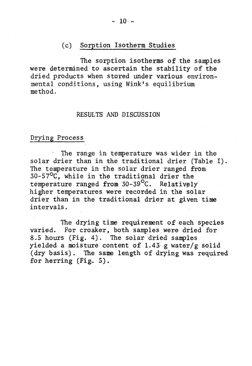### (c) Sorption Isotherm Studies

The sorption isotherms of the samples were determined to ascertain the stability of the dried products when stored under various environmental conditions, using Wink's equilibrium method.

#### RESULTS AND DISCUSSION

### Drying Process

The range in temperature was wider in the solar drier than in the traditional drier (Table I). The temperature in the solar drier ranged from  $30-57$ <sup>O</sup>C, while in the traditional drier the temperature ranged from  $30-39$ <sup>o</sup>C. Relatively higher temperatures were recorded in the solar drier than in the traditional drier at given time intervals.

The drying time requirement of each species varied. For croaker, both samples were dried for 8.5 hours (Fig. 4). The solar dried samples yielded a moisture content of 1.43 g water/g solid (dry basis). The same length of drying was required for herring  $(Fig. 5)$ .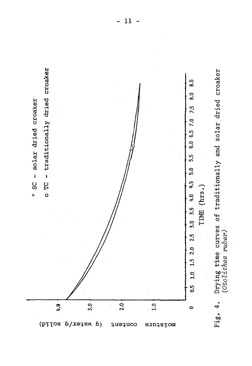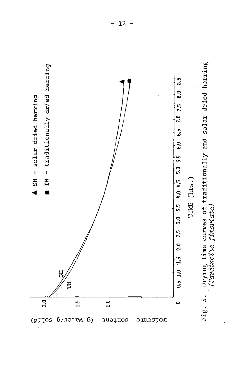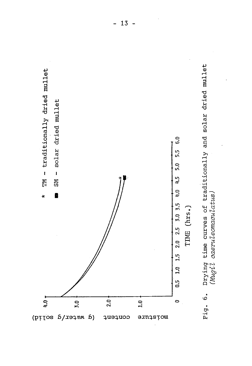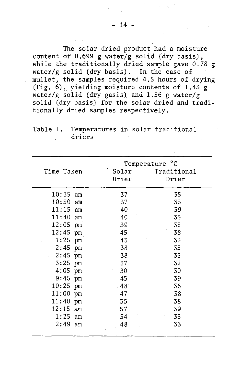The solar dried product had a moisture content of  $0.699$  g water/g solid (dry basis), while the traditionally dried sample gave  $0.78$  g water/g solid (dry basis). In the case of mullet, the samples required 4.5 hours of drying (Fig.  $6$ ), yielding moisture contents of 1.43 g water/g solid (dry gasis) and 1.56 g water/g solid (dry basis) for the solar dried and traditionally dried samples respectively.

Table I. Temperatures in solar traditional driers

|                    |    |                | Temperature °C       |
|--------------------|----|----------------|----------------------|
| Time Taken         |    | Solar<br>Drier | Traditional<br>Drier |
| $10:35$ am         |    | 37             | 35                   |
| $10:50$ am         |    | 37             | 35                   |
| $11:15$ am         |    | 40             | 39                   |
| $11:40$ am         |    | 40             | 35                   |
| $12:05$ pm         |    | 39             | 35                   |
| 12:45 pm           |    | 45             | 38 <sup>°</sup>      |
| $1:25$ pm          |    | 43             | 35                   |
| $2:45$ pm          |    | 38             | 35                   |
| $2:45$ pm          |    | 38             | 35                   |
| $-3:25$ pm         |    | 37             | 32                   |
| $4:05$ pm          |    | 30             | 30                   |
| $9:45$ pm          |    | 45             | 39                   |
| $10:25$ pm         |    | $-48$          | 36                   |
| $11:00$ pm         |    | 47             | 38                   |
| $11:40 \text{ pm}$ |    | 55             | 38                   |
| 12:15<br>$1:25$ am | am | 57<br>54       | 39<br>35             |
| $2:49$ am          |    | 48             | 33                   |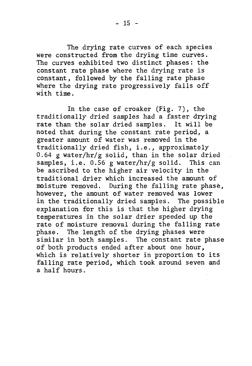The drying rate curves of each species were constructed from the drying time curves. The curves exhibited two distinct phases: the constant rate phase where the drying rate is

constant, followed by the falling rate phase where the drying rate progressively falls off with time.

In the case of croaker (Fig.  $7$ ), the traditionally dried samples had a faster drying rate than the solar dried samples. It will be noted that during the constant rate period, a greater amount of water was removed in the traditionally dried fish, i.e., approximately 0.64 g water/hr/g solid, than in the solar dried samples, i.e.  $0.56$  g water/hr/g solid. This can be ascribed to the higher air velocity in the traditional drier which increased the amount of moisture removed. During the falling rate phase, however, the amount of water removed was lower in the traditionally dried samples. The possible explanation for this is that the higher drying temperatures in the solar drier speeded up the rate of moisture removal during the falling rate phase. The length of the drying phases were similar in both samples. The constant rate phase of both products ended after about one hour, which is relatively shorter in proportion to its falling rate period, which took around seven and a half hours.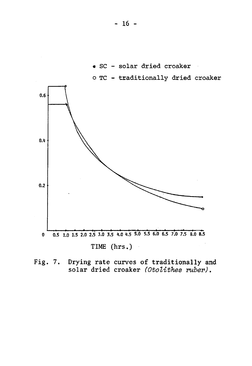

Drying rate curves of traditionally and<br>solar dried croaker (Otolithes ruber). Fig.  $7.$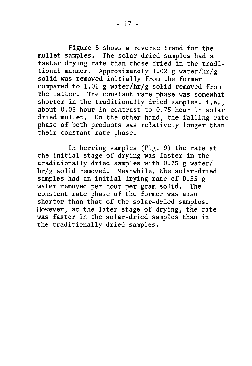Figure 8 shows a reverse trend for the mullet samples. The solar dried samples had a faster drying rate than those dried in the traditional manner. Approximately 1.02 g water/hr/g solid was removed initially from the former compared to 1.01 g water/hr/g solid removed from the latter. The constant rate phase was somewhat shorter in the traditionally dried samples. i.e., about  $0.05$  hour in contrast to  $0.75$  hour in solar dried mullet. On the other hand, the falling rate phase of both products was relatively longer than their constant rate phase.

In herring samples (Fig. 9) the rate at the initial stage of drying was faster in the traditionally dried samples with  $0.75$  g water/  $hr/g$  solid removed. Meanwhile, the solar-dried samples had an initial drying rate of  $0.55$  g water removed per hour per gram solid. The constant rate phase of the former was also shorter than that of the solar-dried samples. However, at the later stage of drying, the rate was faster in the solar-dried samples than in the traditionally dried samples.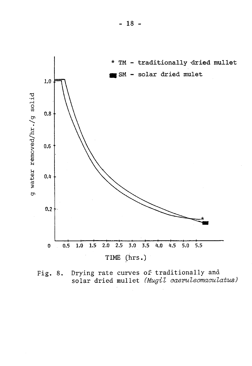

Drying rate curves of traditionally and Fig. 8. solar dried mullet (Mugil caeruleomaculatus)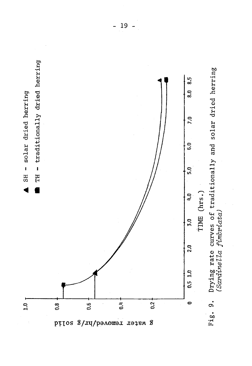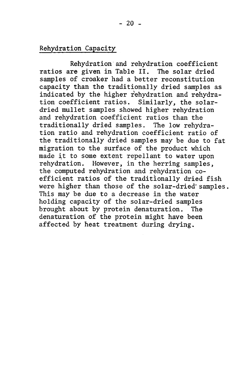### Rehydration Capacity

Rehydration and rehydration coefficient ratios are given in Table II. The solar dried samples of croaker had a better reconstitution capacity than the traditionally dried samples as indicated by the higher rehydration and rehydration coefficient ratios. Similarly, the solardried mullet samples showed higher rehydration and rehydration coefficient ratios than the traditionally dried samples. The low rehydration ratio and rehydration coefficient ratio of the traditionally dried samples may be due to fat migration to the surface of the product which made it to some extent repellant to water upon rehydration. However, in the herring samples, the computed rehydration and rehydration coefficient ratios of the traditionally dried fish were higher than those of the solar-dried samples. This may be due to a decrease in the water holding capacity of the solar-dried samples brought about by protein denaturation. The denaturation of the protein might have been affected by heat treatment during drying.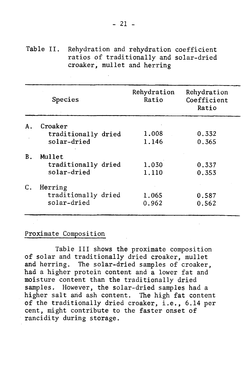Table II. Rehydration and rehydration coefficient ratios of traditionally and solar-dried croaker, mullet and herring

|    | Species             | Rehydration<br>Ratio | Rehydration<br>Coefficient<br>Ratio |
|----|---------------------|----------------------|-------------------------------------|
| А. | Croaker             |                      |                                     |
|    | traditionally dried | 1,008                | 0.332                               |
|    | solar-dried         | 1.146                | 0.365                               |
| В. | Mullet              |                      |                                     |
|    | traditionally dried | 1.030                | 0.337                               |
|    | solar-dried         | 1,110                | 0.353                               |
| C. | Herring             |                      |                                     |
|    | traditionally dried | 1.065                | 0.587                               |
|    | solar-dried         | 0.962                | 0.562                               |

### Proximate Composition

Table III shows the proximate composition of solar and traditionally dried croaker, mullet and herring. The solar-dried samples of croaker, had a higher protein content and a lower fat and moisture content than the traditionally dried samples. However, the solar-dried samples had a higher salt and ash content. The high fat content of the traditionally dried croaker, i.e., 6.14 per cent, might contribute to the faster onset of rancidity during storage.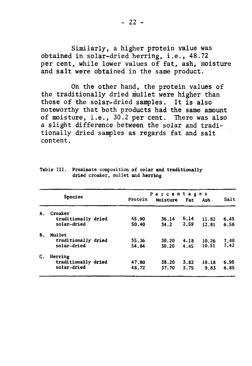Similarly, a higher protein value was obtained in solar-dried herring, i.e., 48.72 per cent, while lower values of fat, ash, moisture and salt were obtained in the same product.

On the other hand, the protein values of the traditionally dried mullet were higher than those of the solar-dried samples. It is also noteworthy that both products had the same amount of moisture, i.e., 30.2 per cent. There was also a slight difference between the solar and traditionally dried samples as regards fat and salt content.

|    | <b>Species</b>      |         | Percentages |            |       |      |
|----|---------------------|---------|-------------|------------|-------|------|
|    |                     | Protein | Moisture    | <b>Fat</b> | Ash - | Salt |
| А. | Croaker             |         |             |            |       |      |
|    | traditionally dried | 45.90   | 36.14       | 6.14       | 11.82 | 6.45 |
|    | solar-dried         | 50.40   | 34.2        | 2.59       | 12.81 | 6.56 |
| В. | Mullet              |         |             |            |       |      |
|    | traditionally dried | 55.36   | 30.20       | 4.18       | 10.26 | 7.40 |
|    | solar-dried         | 54.84   | 30.20       | 4.45       | 10.51 | 7.42 |
| С. | Herring             |         |             |            |       |      |
|    | traditionally dried | 47.80   | 38.20       | 3.82       | 10.18 | 6.95 |
|    | solar-dried         | 48.72   | 37.70       | 3.75       | 9.83  | 6.85 |

Table III. Proximate composition of solar and traditionally dried croaker, mullet and herring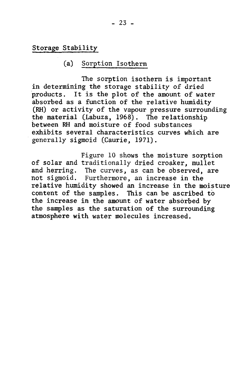Storage Stability

### (a) Sorption Isotherm

The sorption isotherm is important in determining the storage stability of dried products. It is the plot of the amount of water absorbed as a function of the relative humidity (RH) or activity of the vapour pressure surrounding the material (Labuza,  $1968$ ). The relationship between RH and moisture of food substances exhibits several characteristics curves which are generally sigmoid (Caurie, 1971).

Figure 10 shows the moisture sorption of solar and traditionally dried croaker, mullet and herring. The curves, as can be observed, are not sigmoid. Furthermore, an increase in the relative humidity showed an increase in the moisture content of the samples. This can be ascribed to the increase in the amount of water absorbed by the samples as the saturation of the surrounding atmosphere with water molecules increased.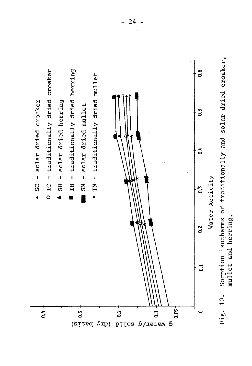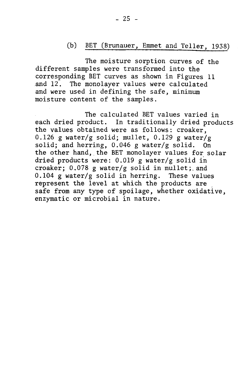### (b) BET (Brunauer, Emmet and Teller, 1938)

The moisture sorption curves of the different samples were transformed into the corresponding BET curves as shown in Figures 11 and  $12$ . The monolayer values were calculated and were used in defining the safe, minimum moisture content of the samples.

The calculated BET values varied in each dried product. In traditionally dried products the values obtained were as follows: croaker. 0.126 g water/g solid; mullet, 0.129 g water/g solid; and herring,  $0.046$  g water/g solid. On the other hand, the BET monolayer values for solar dried products were:  $0.019$  g water/g solid in croaker;  $0.078$  g water/g solid in mullet; and  $0.104$  g water/g solid in herring. These values represent the level at which the products are safe from any type of spoilage, whether oxidative, enzymatic or microbial in nature.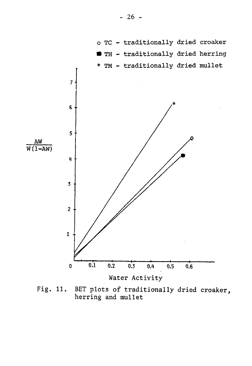

Fig. 11. BET plots of traditionally dried croaker, herring and mullet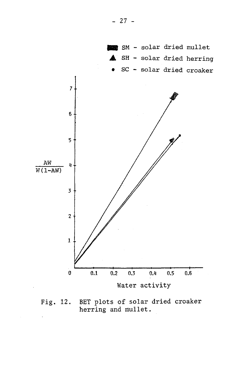

BET plots of solar dried croaker Fig. 12. herring and mullet.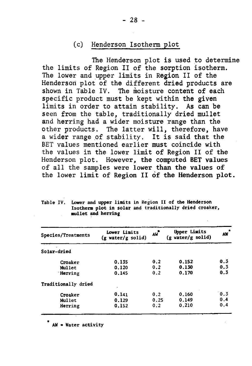### (c) Henderson Isotherm plot

The Henderson plot is used to determine the limits of Region II of the sorption isotherm. The lower and upper limits in Region II of the Henderson plot of the different dried products are shown in Table IV. The moisture content of each specific product must be kept within the given limits in order to attain stability. As can be seen from the table, traditionally dried mullet and herring had a wider moisture range than the other products. The latter will, therefore, have a wider range of stability. It is said that the BET values mentioned earlier must coincide with the values in the lower limit of Region II of the Henderson plot. However, the computed BET values of all the samples were lower than the values of the lower limit of Region II of the Henderson plot.

| Table IV. | Lower and upper limits in Region II of the Henderson    |
|-----------|---------------------------------------------------------|
|           | Isotherm plot in solar and traditionally dried croaker, |
|           | mullet and herring                                      |

| Species/Treatments  | Lower Limits<br>$(g \text{ water}/g \text{ solid})$ | AW   | <b>Upper Limits</b><br>$(g \text{ water/g solid})$ | $\hat{\mathbf{x}}$<br>AW |
|---------------------|-----------------------------------------------------|------|----------------------------------------------------|--------------------------|
| Solar-dried         |                                                     |      |                                                    |                          |
| Croaker             | 0.135                                               | 0.2  | 0.152                                              | 0.3                      |
| Mullet              | 0.120                                               | 0.2  | 0.130                                              | 0.3                      |
| Herring             | 0.145                                               | 0.2  | 0.170                                              | 0.3                      |
| Traditionally dried |                                                     |      |                                                    |                          |
| Croaker             | 0.141                                               | 0.2  | 0.160                                              | 0.3                      |
| Mullet              | 0.129                                               | 0.25 | 0.149                                              | 0.4                      |
| Herring             | 0.152                                               | 0.2  | 0.210                                              | 0.4                      |

\*  $AW = Water$  activity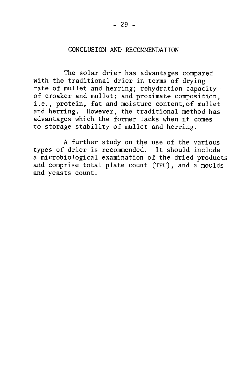### CONCLUSION AND RECOMMENDATION

The solar drier has advantages compared with the traditional drier in terms of drying rate of mullet and herring; rehydration capacity of croaker and mullet; and proximate composition, i.e., protein, fat and moisture content, of mullet and herring. However, the traditional method has advantages which the former lacks when it comes to storage stability of mullet and herring.

A further study on the use of the various types of drier is recommended. It should include a microbiological examination of the dried products and comprise total plate count (TPC), and a moulds and yeasts count.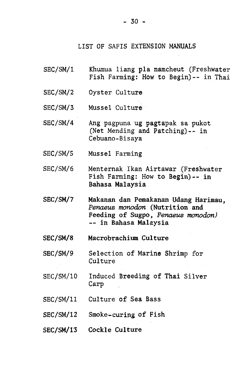#### LIST OF SAFIS EXTENSION MANUALS

- SEC/SM/1 Khumua liang pla namcheut (Freshwater Fish Farming: How to Begin) -- in Thai
- SEC/SM/2 Oyster Culture
- SEC/SM/3 Mussel Culture
- SEC/SM/4 Ang pagpuna ug pagtapak sa pukot (Net Mending and Patching) $-$ - in Cebuano-Bisaya
- SEC/SM/5 Mussel Farming
- SEC/SM/6 Menternak Ikan Airtawar (Freshwater Fish Farming: How to Begin) -- in Bahasa Malaysia
- SEC/SM/7 Makanan dan Pemakanan Udang Harimau, *Penaeus monodon* (Nutrition and Feeding of Sugpo, Penaeus monodon) -- in Bahasa Malaysia
- SEC/SM/8 Macrobrachium Culture
- SEC/SM/9 Selection of Marine Shrimp for Culture
- SEC/SM/10 Induced Breeding of Thai Silver Carp
- SEC/SM/11 Culture of Sea Bass
- SEC/SM/12 Smoke-curing of Fish
- SEC/SM/13 Cockle Culture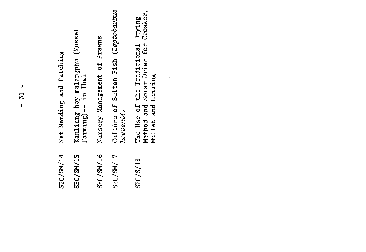| <b>SEC/SM/14</b> | Net Mending and Patching                                                                             |
|------------------|------------------------------------------------------------------------------------------------------|
| SEC/SM/15        | Kanliang hoy malangphu (Mussel<br>Farming) -- in Thai                                                |
| SEC/SM/16        | Nursery Management of Prawns                                                                         |
| SEC/SM/17        | Culture of Sultan Fish (Leptobarbus<br>hoevenii)                                                     |
| SEC/S/18         | Croaker,<br>The Use of the Traditional Drying<br>Method and Solar Drier for<br>Herring<br>Mullet and |
|                  |                                                                                                      |
|                  |                                                                                                      |
|                  |                                                                                                      |
|                  |                                                                                                      |
|                  |                                                                                                      |

 $-31 -$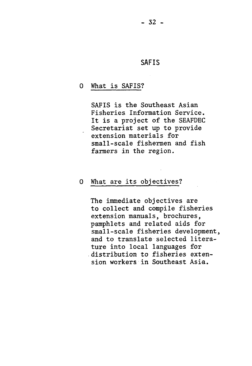$-32 -$ 

### SAFIS

### 0 What is SAFIS?

SAFIS is the Southeast Asian Fisheries Information Service. It is a project of the SEAFDEC Secretariat set up to provide extension materials for small-scale fishermen and fish farmers in the region.

### 0 What are its objectives?

The immediate objectives are to collect and compile fisheries extension manuals, brochures, pamphlets and related aids for small-scale fisheries development, and to translate selected literature into local languages for distribution to fisheries extension workers in Southeast Asia.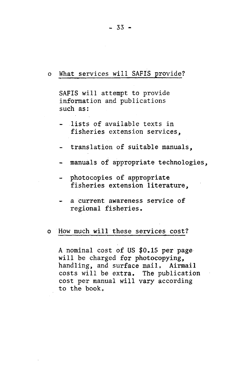### o What services will SAFIS provide?

SAFIS will attempt to provide information and publications such as:

- lists of available texts in fisheries extension services,
- translation of suitable manuals,
- manuals of appropriate technologies.
- photocopies of appropriate fisheries extension literature,
- a current awareness service of regional fisheries.

### o How much will these services cost?

A nominal cost of US  $$0.15$  per page will be charged for photocopying, handling, and surface mail. Airmail costs will be extra. The publication cost per manual will vary according to the book.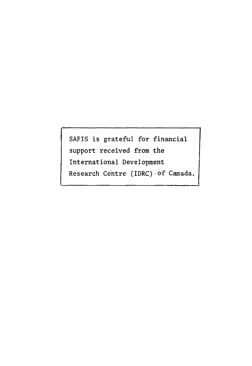SAFIS is grateful for financial support received from the International Development Research Centre (IDRC) of Canada.